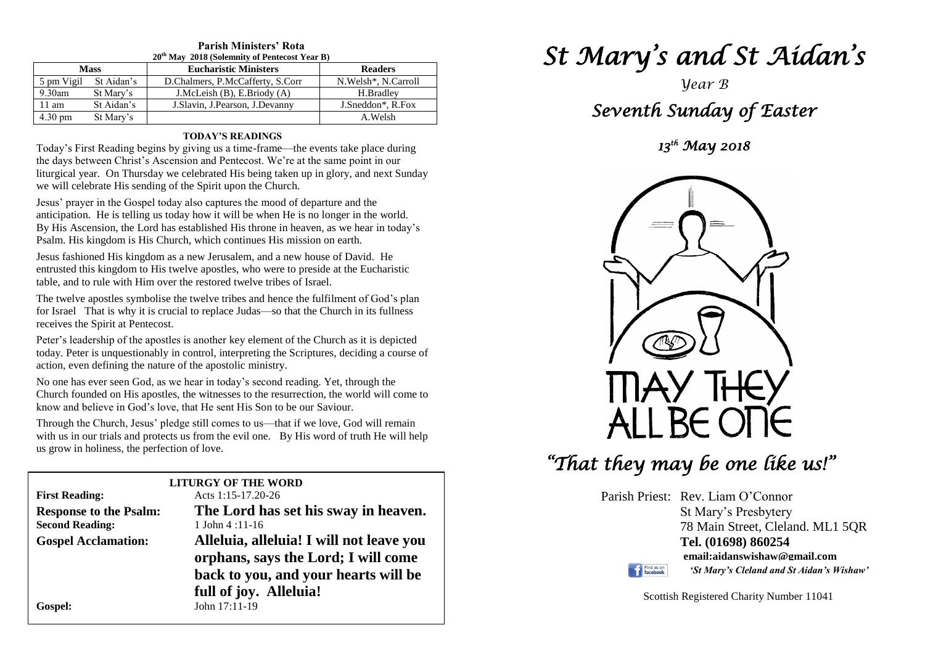#### **Parish Ministers' Rota 20th May 2018 (Solemnity of Pentecost Year B)**

| $-0.114$ , $-0.101$ , $-0.01$ , $-0.111$ , $-0.111$ , $-0.111$ , $-0.011$ , $-0.011$ , $-0.011$ , $-0.011$ , $-0.011$ |            |                                   |                       |  |  |
|-----------------------------------------------------------------------------------------------------------------------|------------|-----------------------------------|-----------------------|--|--|
| <b>Mass</b>                                                                                                           |            | <b>Eucharistic Ministers</b>      | <b>Readers</b>        |  |  |
| 5 pm Vigil                                                                                                            | St Aidan's | D.Chalmers, P.McCafferty, S.Corr  | N. Welsh*, N. Carroll |  |  |
| $9.30$ am                                                                                                             | St Mary's  | J.McLeish $(B)$ , E.Briody $(A)$  | H.Bradlev             |  |  |
| 11 am                                                                                                                 | St Aidan's | J. Slavin, J. Pearson, J. Devanny | J.Sneddon*, R.Fox     |  |  |
| $4.30 \text{ pm}$                                                                                                     | St Mary's  |                                   | A.Welsh               |  |  |

#### **TODAY'S READINGS**

Today's First Reading begins by giving us a time-frame—the events take place during the days between Christ's Ascension and Pentecost. We're at the same point in our liturgical year. On Thursday we celebrated His being taken up in glory, and next Sunday we will celebrate His sending of the Spirit upon the Church.

Jesus' prayer in the Gospel today also captures the mood of departure and the anticipation. He is telling us today how it will be when He is no longer in the world. By His Ascension, the Lord has established His throne in heaven, as we hear in today's Psalm. His kingdom is His Church, which continues His mission on earth.

Jesus fashioned His kingdom as a new Jerusalem, and a new house of David. He entrusted this kingdom to His twelve apostles, who were to preside at the Eucharistic table, and to rule with Him over the restored twelve tribes of Israel.

The twelve apostles symbolise the twelve tribes and hence the fulfilment of God's plan for Israel That is why it is crucial to replace Judas—so that the Church in its fullness receives the Spirit at Pentecost.

Peter's leadership of the apostles is another key element of the Church as it is depicted<br>today. Peter is unquestionably in control, interpreting the Scriptures, deciding a course of<br>exting source definite the approach is Peter's leadership of the apostles is another key element of the Church as it is depicted action, even defining the nature of the apostolic ministry.

No one has ever seen God, as we hear in today's second reading. Yet, through the Church founded on His apostles, the witnesses to the resurrection, the world will come to No one has ever seen God, as we hear in today's second reading. Yet, through the know and believe in God's love, that He sent His Son to be our Saviour.

**Through the Church, Jesus' pledge still comes to us—that if we love, God will remain**<br>with us in our trials and protects us from the ovil one. By His word of truth Ho will be  with us in our trials and protects us from the evil one. By His word of truth He will help us grow in holiness, the perfection of love.

| <b>LITURGY OF THE WORD</b>    |                                          |  |  |  |  |
|-------------------------------|------------------------------------------|--|--|--|--|
| <b>First Reading:</b>         | Acts 1:15-17.20-26                       |  |  |  |  |
| <b>Response to the Psalm:</b> | The Lord has set his sway in heaven.     |  |  |  |  |
| <b>Second Reading:</b>        | 1 John $4:11-16$                         |  |  |  |  |
| <b>Gospel Acclamation:</b>    | Alleluia, alleluia! I will not leave you |  |  |  |  |
|                               | orphans, says the Lord; I will come      |  |  |  |  |
|                               | back to you, and your hearts will be     |  |  |  |  |
|                               | full of joy. Alleluia!                   |  |  |  |  |
| Gospel:                       | John 17:11-19                            |  |  |  |  |
|                               |                                          |  |  |  |  |

# *St Mary's and St Aidan's*

### *Year B Seventh Sunday of Easter*

*13th May 2018* 



## *"That they may be one like us!"*

Parish Priest: Rev. Liam O'Connor St Mary's Presbytery 78 Main Street, Cleland. ML1 5QR **Tel. (01698) 860254 email:aidanswishaw@gmail.com**



*'St Mary's Cleland and St Aidan's Wishaw'*

Scottish Registered Charity Number 11041